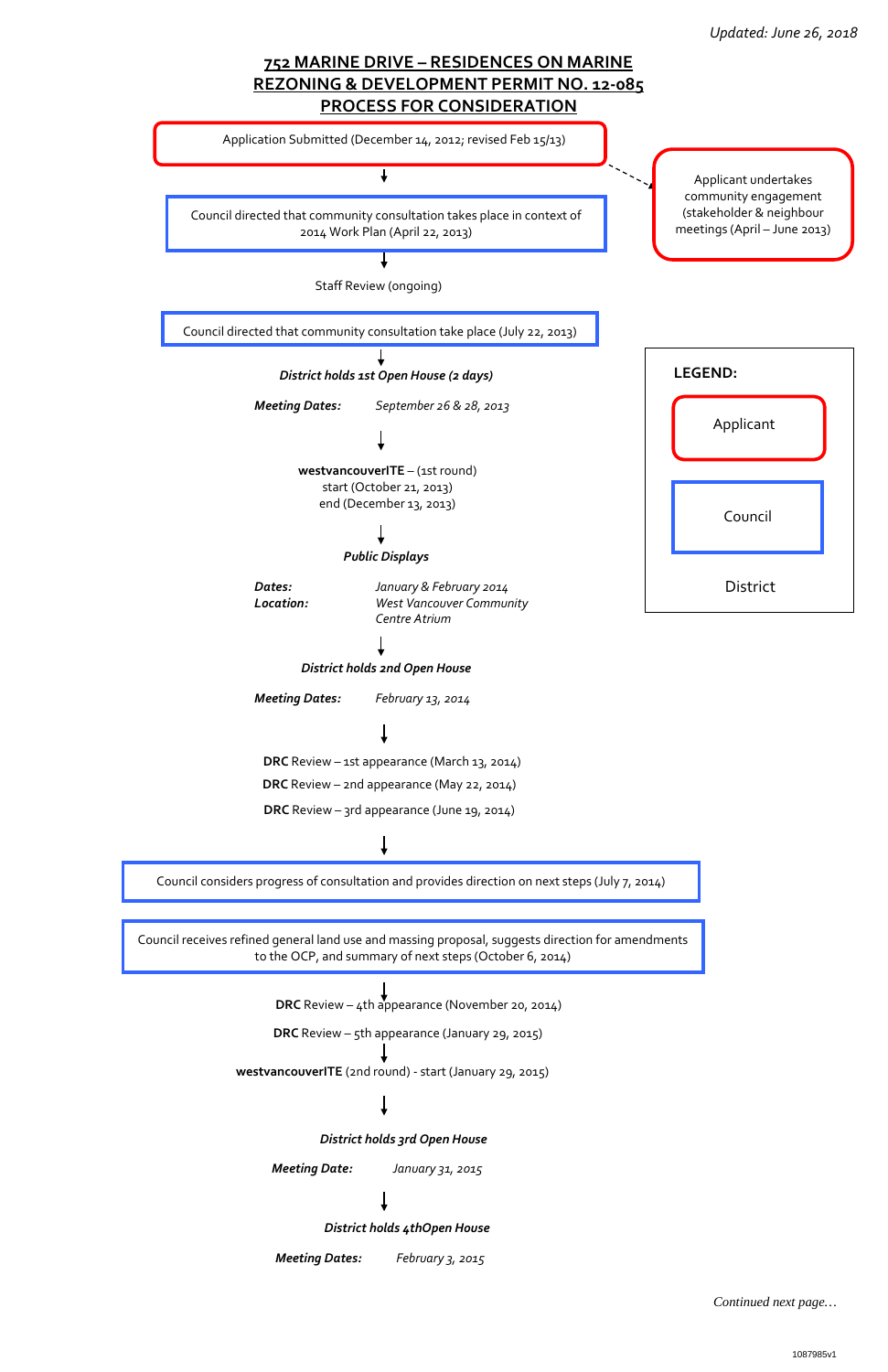*Continued next page…*



**DRC** Review – 4th appearance (November 20, 2014)